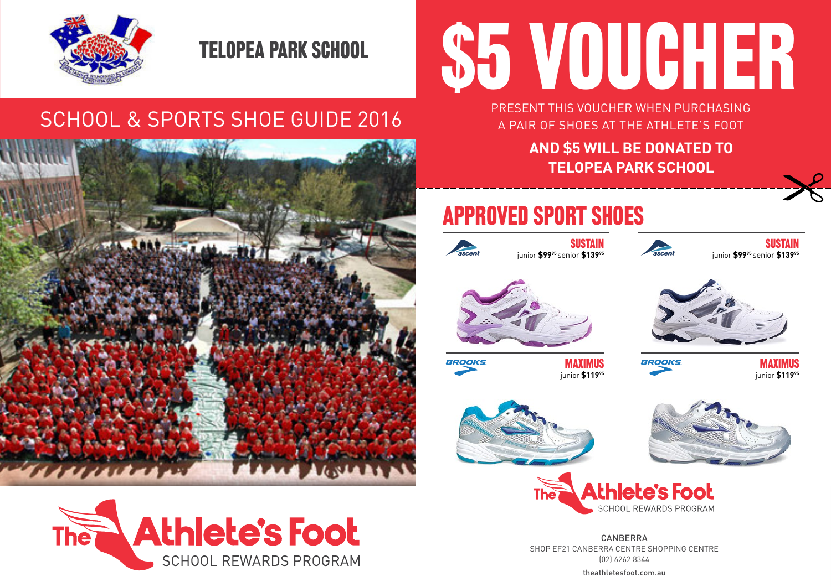

### TELOPEA PARK SCHOOL

### SCHOOL & SPORTS SHOE GUIDE 2016



#### **Athlete's Foot The SCHOOL REWARDS PROGRAM**

# \$5 VOUCHER

PRESENT THIS VOUCHER WHEN PURCHASING A PAIR OF SHOES AT THE ATHLETE'S FOOT

> **AND \$5 WILL BE DONATED TO TELOPEA PARK SCHOOL**

## APPROVED SPORT SHOES



**BROOKS** 









**MAXIMUS** BROOKS MAXIMUS<br>
iunior \$119<sup>%</sup> iunior \$119<sup>%</sup> junior **\$11995** junior **\$11995** 







theathletesfoot.com.au **CANRERRA** SHOP EF21 CANBERRA CENTRE SHOPPING CENTRE (02) 6262 8344